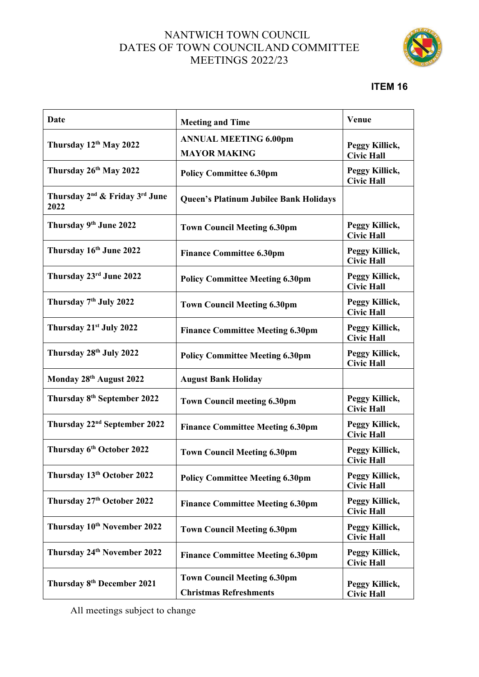## NANTWICH TOWN COUNCIL DATES OF TOWN COUNCILAND COMMITTEE MEETINGS 2022/23



## **ITEM 16**

| <b>Date</b>                                                    | <b>Meeting and Time</b>                                             | Venue                               |
|----------------------------------------------------------------|---------------------------------------------------------------------|-------------------------------------|
| Thursday 12th May 2022                                         | <b>ANNUAL MEETING 6.00pm</b><br><b>MAYOR MAKING</b>                 | Peggy Killick,<br><b>Civic Hall</b> |
| Thursday 26th May 2022                                         | <b>Policy Committee 6.30pm</b>                                      | Peggy Killick,<br><b>Civic Hall</b> |
| Thursday 2 <sup>nd</sup> & Friday 3 <sup>rd</sup> June<br>2022 | Queen's Platinum Jubilee Bank Holidays                              |                                     |
| Thursday 9th June 2022                                         | <b>Town Council Meeting 6.30pm</b>                                  | Peggy Killick,<br><b>Civic Hall</b> |
| Thursday 16th June 2022                                        | <b>Finance Committee 6.30pm</b>                                     | Peggy Killick,<br><b>Civic Hall</b> |
| Thursday 23rd June 2022                                        | <b>Policy Committee Meeting 6.30pm</b>                              | Peggy Killick,<br><b>Civic Hall</b> |
| Thursday 7 <sup>th</sup> July 2022                             | <b>Town Council Meeting 6.30pm</b>                                  | Peggy Killick,<br><b>Civic Hall</b> |
| Thursday 21 <sup>st</sup> July 2022                            | <b>Finance Committee Meeting 6.30pm</b>                             | Peggy Killick,<br><b>Civic Hall</b> |
| Thursday 28th July 2022                                        | <b>Policy Committee Meeting 6.30pm</b>                              | Peggy Killick,<br><b>Civic Hall</b> |
| Monday 28th August 2022                                        | <b>August Bank Holiday</b>                                          |                                     |
| Thursday 8 <sup>th</sup> September 2022                        | <b>Town Council meeting 6.30pm</b>                                  | Peggy Killick,<br><b>Civic Hall</b> |
| Thursday 22 <sup>nd</sup> September 2022                       | <b>Finance Committee Meeting 6.30pm</b>                             | Peggy Killick,<br><b>Civic Hall</b> |
| Thursday 6th October 2022                                      | <b>Town Council Meeting 6.30pm</b>                                  | Peggy Killick,<br><b>Civic Hall</b> |
| Thursday 13th October 2022                                     | <b>Policy Committee Meeting 6.30pm</b>                              | Peggy Killick,<br><b>Civic Hall</b> |
| Thursday 27th October 2022                                     | <b>Finance Committee Meeting 6.30pm</b>                             | Peggy Killick,<br><b>Civic Hall</b> |
| Thursday 10th November 2022                                    | <b>Town Council Meeting 6.30pm</b>                                  | Peggy Killick,<br><b>Civic Hall</b> |
| Thursday 24th November 2022                                    | <b>Finance Committee Meeting 6.30pm</b>                             | Peggy Killick,<br><b>Civic Hall</b> |
| Thursday 8th December 2021                                     | <b>Town Council Meeting 6.30pm</b><br><b>Christmas Refreshments</b> | Peggy Killick,<br><b>Civic Hall</b> |

All meetings subject to change